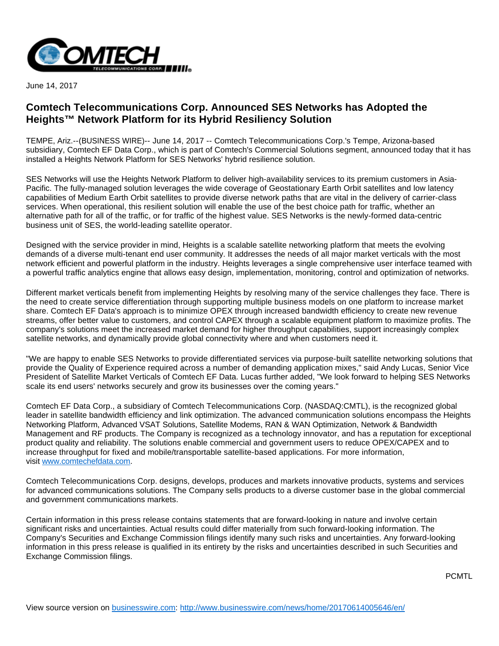

June 14, 2017

## **Comtech Telecommunications Corp. Announced SES Networks has Adopted the Heights™ Network Platform for its Hybrid Resiliency Solution**

TEMPE, Ariz.--(BUSINESS WIRE)-- June 14, 2017 -- Comtech Telecommunications Corp.'s Tempe, Arizona-based subsidiary, Comtech EF Data Corp., which is part of Comtech's Commercial Solutions segment, announced today that it has installed a Heights Network Platform for SES Networks' hybrid resilience solution.

SES Networks will use the Heights Network Platform to deliver high-availability services to its premium customers in Asia-Pacific. The fully-managed solution leverages the wide coverage of Geostationary Earth Orbit satellites and low latency capabilities of Medium Earth Orbit satellites to provide diverse network paths that are vital in the delivery of carrier-class services. When operational, this resilient solution will enable the use of the best choice path for traffic, whether an alternative path for all of the traffic, or for traffic of the highest value. SES Networks is the newly-formed data-centric business unit of SES, the world-leading satellite operator.

Designed with the service provider in mind, Heights is a scalable satellite networking platform that meets the evolving demands of a diverse multi-tenant end user community. It addresses the needs of all major market verticals with the most network efficient and powerful platform in the industry. Heights leverages a single comprehensive user interface teamed with a powerful traffic analytics engine that allows easy design, implementation, monitoring, control and optimization of networks.

Different market verticals benefit from implementing Heights by resolving many of the service challenges they face. There is the need to create service differentiation through supporting multiple business models on one platform to increase market share. Comtech EF Data's approach is to minimize OPEX through increased bandwidth efficiency to create new revenue streams, offer better value to customers, and control CAPEX through a scalable equipment platform to maximize profits. The company's solutions meet the increased market demand for higher throughput capabilities, support increasingly complex satellite networks, and dynamically provide global connectivity where and when customers need it.

"We are happy to enable SES Networks to provide differentiated services via purpose-built satellite networking solutions that provide the Quality of Experience required across a number of demanding application mixes," said Andy Lucas, Senior Vice President of Satellite Market Verticals of Comtech EF Data. Lucas further added, "We look forward to helping SES Networks scale its end users' networks securely and grow its businesses over the coming years."

Comtech EF Data Corp., a subsidiary of Comtech Telecommunications Corp. (NASDAQ:CMTL), is the recognized global leader in satellite bandwidth efficiency and link optimization. The advanced communication solutions encompass the Heights Networking Platform, Advanced VSAT Solutions, Satellite Modems, RAN & WAN Optimization, Network & Bandwidth Management and RF products. The Company is recognized as a technology innovator, and has a reputation for exceptional product quality and reliability. The solutions enable commercial and government users to reduce OPEX/CAPEX and to increase throughput for fixed and mobile/transportable satellite-based applications. For more information, visit [www.comtechefdata.com.](http://cts.businesswire.com/ct/CT?id=smartlink&url=http%3A%2F%2Fwww.comtechefdata.com&esheet=51574234&newsitemid=20170614005646&lan=en-US&anchor=www.comtechefdata.com&index=1&md5=4532b1d8070d320eb9086ceb87525238)

Comtech Telecommunications Corp. designs, develops, produces and markets innovative products, systems and services for advanced communications solutions. The Company sells products to a diverse customer base in the global commercial and government communications markets.

Certain information in this press release contains statements that are forward-looking in nature and involve certain significant risks and uncertainties. Actual results could differ materially from such forward-looking information. The Company's Securities and Exchange Commission filings identify many such risks and uncertainties. Any forward-looking information in this press release is qualified in its entirety by the risks and uncertainties described in such Securities and Exchange Commission filings.

PCMTL